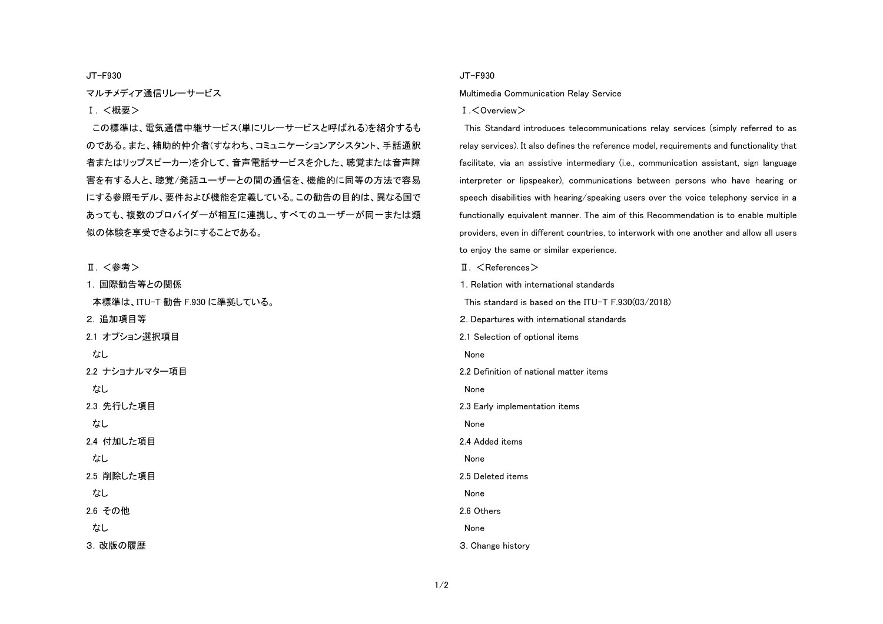JT-F930

マルチメディア通信リレーサービス

## Ⅰ. <概要>

この標準は、電気通信中継サービス(単にリレーサービスと呼ばれる)を紹介するも のである。また、補助的仲介者(すなわち、コミュニケーションアシスタント、手話通訳 者またはリップスピーカー)を介して、音声電話サービスを介した、聴覚または音声障 害を有する人と、聴覚/発話ユーザーとの間の通信を、機能的に同等の方法で容易 にする参照モデル、要件および機能を定義している。この勧告の目的は、異なる国で あっても、複数のプロバイダーが相互に連携し、すべてのユーザーが同一または類 似の体験を享受できるようにすることである。

Ⅱ. <参考>

1. 国際勧告等との関係 本標準は、ITU-T 勧告 F.930 に準拠している。 2. 追加項目等 2.1 オプション選択項目 なし 2.2 ナショナルマター項目 なし 2.3 先行した項目 なし 2.4 付加した項目 なし 2.5 削除した項目 なし 2.6 その他 なし 3. 改版の履歴

## JT-F930

Multimedia Communication Relay Service

## Ⅰ.<Overview>

This Standard introduces telecommunications relay services (simply referred to as relay services). It also defines the reference model, requirements and functionality that facilitate, via an assistive intermediary (i.e., communication assistant, sign language interpreter or lipspeaker), communications between persons who have hearing or speech disabilities with hearing/speaking users over the voice telephony service in a functionally equivalent manner. The aim of this Recommendation is to enable multiple providers, even in different countries, to interwork with one another and allow all users to enjoy the same or similar experience.

 $\P$   $\leq$  References  $>$ 1. Relation with international standards This standard is based on the ITU-T F.930(03/2018) 2. Departures with international standards

2.1 Selection of optional items

None

2.2 Definition of national matter items

None

2.3 Early implementation items

None

2.4 Added items

None

2.5 Deleted items

None

2.6 Others

None

3. Change history